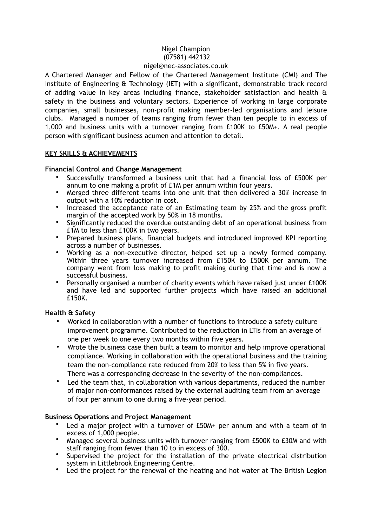### Nigel Champion (07581) 442132 nigel@nec-associates.co.uk

A Chartered Manager and Fellow of the Chartered Management Institute (CMI) and The Institute of Engineering & Technology (IET) with a significant, demonstrable track record of adding value in key areas including finance, stakeholder satisfaction and health & safety in the business and voluntary sectors. Experience of working in large corporate companies, small businesses, non-profit making member-led organisations and leisure clubs. Managed a number of teams ranging from fewer than ten people to in excess of 1,000 and business units with a turnover ranging from £100K to £50M+. A real people person with significant business acumen and attention to detail.

## **KEY SKILLS & ACHIEVEMENTS**

# **Financial Control and Change Management**

- Successfully transformed a business unit that had a financial loss of £500K per annum to one making a profit of £1M per annum within four years.
- Merged three different teams into one unit that then delivered a 30% increase in output with a 10% reduction in cost.
- Increased the acceptance rate of an Estimating team by 25% and the gross profit margin of the accepted work by 50% in 18 months.
- Significantly reduced the overdue outstanding debt of an operational business from £1M to less than £100K in two years.
- Prepared business plans, financial budgets and introduced improved KPI reporting across a number of businesses.
- Working as a non-executive director, helped set up a newly formed company. Within three years turnover increased from £150K to £500K per annum. The company went from loss making to profit making during that time and is now a successful business.
- Personally organised a number of charity events which have raised just under £100K and have led and supported further projects which have raised an additional £150K.

## **Health & Safety**

- Worked in collaboration with a number of functions to introduce a safety culture improvement programme. Contributed to the reduction in LTIs from an average of one per week to one every two months within five years.
- Wrote the business case then built a team to monitor and help improve operational compliance. Working in collaboration with the operational business and the training team the non-compliance rate reduced from 20% to less than 5% in five years. There was a corresponding decrease in the severity of the non-compliances.
- Led the team that, in collaboration with various departments, reduced the number of major non-conformances raised by the external auditing team from an average of four per annum to one during a five-year period.

## **Business Operations and Project Management**

- Led a major project with a turnover of £50M+ per annum and with a team of in excess of 1,000 people.
- Managed several business units with turnover ranging from £500K to £30M and with staff ranging from fewer than 10 to in excess of 300.
- Supervised the project for the installation of the private electrical distribution system in Littlebrook Engineering Centre.
- Led the project for the renewal of the heating and hot water at The British Legion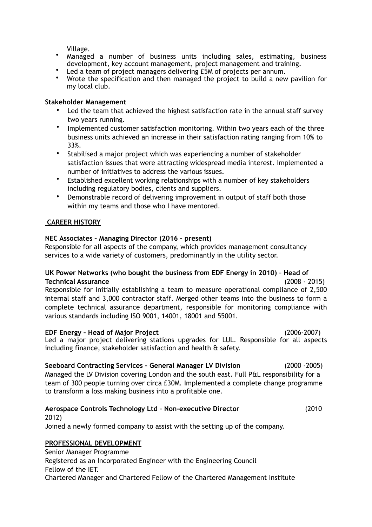Village.

- Managed a number of business units including sales, estimating, business development, key account management, project management and training.
- Led a team of project managers delivering £5M of projects per annum.
- Wrote the specification and then managed the project to build a new pavilion for my local club.

#### **Stakeholder Management**

- Led the team that achieved the highest satisfaction rate in the annual staff survey two years running.
- Implemented customer satisfaction monitoring. Within two years each of the three business units achieved an increase in their satisfaction rating ranging from 10% to 33%.
- Stabilised a major project which was experiencing a number of stakeholder satisfaction issues that were attracting widespread media interest. Implemented a number of initiatives to address the various issues.
- Established excellent working relationships with a number of key stakeholders including regulatory bodies, clients and suppliers.
- Demonstrable record of delivering improvement in output of staff both those within my teams and those who I have mentored.

## **CAREER HISTORY**

## **NEC Associates – Managing Director (2016 – present)**

Responsible for all aspects of the company, which provides management consultancy services to a wide variety of customers, predominantly in the utility sector.

#### **UK Power Networks (who bought the business from EDF Energy in 2010) – Head of Technical Assurance** (2008 - 2015)

Responsible for initially establishing a team to measure operational compliance of 2,500 internal staff and 3,000 contractor staff. Merged other teams into the business to form a complete technical assurance department, responsible for monitoring compliance with various standards including ISO 9001, 14001, 18001 and 55001.

**EDF Energy – Head of Major Project** (2006-2007) Led a major project delivering stations upgrades for LUL. Responsible for all aspects including finance, stakeholder satisfaction and health & safety.

## **Seeboard Contracting Services – General Manager LV Division** (2000 -2005)

Managed the LV Division covering London and the south east. Full P&L responsibility for a team of 300 people turning over circa £30M. Implemented a complete change programme to transform a loss making business into a profitable one.

## **Aerospace Controls Technology Ltd – Non-executive Director** (2010 –

2012) Joined a newly formed company to assist with the setting up of the company.

## **PROFESSIONAL DEVELOPMENT**

Senior Manager Programme Registered as an Incorporated Engineer with the Engineering Council Fellow of the IET. Chartered Manager and Chartered Fellow of the Chartered Management Institute